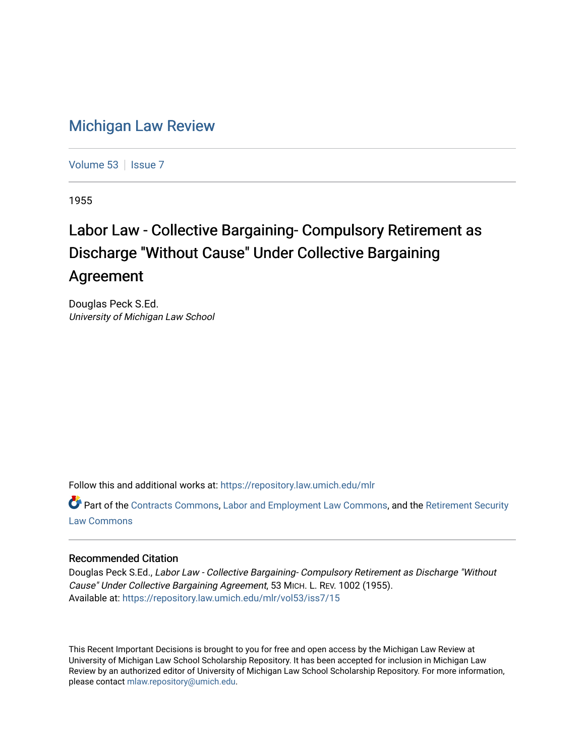## [Michigan Law Review](https://repository.law.umich.edu/mlr)

[Volume 53](https://repository.law.umich.edu/mlr/vol53) | [Issue 7](https://repository.law.umich.edu/mlr/vol53/iss7)

1955

## Labor Law - Collective Bargaining- Compulsory Retirement as Discharge "Without Cause" Under Collective Bargaining Agreement

Douglas Peck S.Ed. University of Michigan Law School

Follow this and additional works at: [https://repository.law.umich.edu/mlr](https://repository.law.umich.edu/mlr?utm_source=repository.law.umich.edu%2Fmlr%2Fvol53%2Fiss7%2F15&utm_medium=PDF&utm_campaign=PDFCoverPages) 

Part of the [Contracts Commons](http://network.bepress.com/hgg/discipline/591?utm_source=repository.law.umich.edu%2Fmlr%2Fvol53%2Fiss7%2F15&utm_medium=PDF&utm_campaign=PDFCoverPages), [Labor and Employment Law Commons,](http://network.bepress.com/hgg/discipline/909?utm_source=repository.law.umich.edu%2Fmlr%2Fvol53%2Fiss7%2F15&utm_medium=PDF&utm_campaign=PDFCoverPages) and the [Retirement Security](http://network.bepress.com/hgg/discipline/873?utm_source=repository.law.umich.edu%2Fmlr%2Fvol53%2Fiss7%2F15&utm_medium=PDF&utm_campaign=PDFCoverPages)  [Law Commons](http://network.bepress.com/hgg/discipline/873?utm_source=repository.law.umich.edu%2Fmlr%2Fvol53%2Fiss7%2F15&utm_medium=PDF&utm_campaign=PDFCoverPages) 

## Recommended Citation

Douglas Peck S.Ed., Labor Law - Collective Bargaining- Compulsory Retirement as Discharge "Without Cause" Under Collective Bargaining Agreement, 53 MICH. L. REV. 1002 (1955). Available at: [https://repository.law.umich.edu/mlr/vol53/iss7/15](https://repository.law.umich.edu/mlr/vol53/iss7/15?utm_source=repository.law.umich.edu%2Fmlr%2Fvol53%2Fiss7%2F15&utm_medium=PDF&utm_campaign=PDFCoverPages) 

This Recent Important Decisions is brought to you for free and open access by the Michigan Law Review at University of Michigan Law School Scholarship Repository. It has been accepted for inclusion in Michigan Law Review by an authorized editor of University of Michigan Law School Scholarship Repository. For more information, please contact [mlaw.repository@umich.edu.](mailto:mlaw.repository@umich.edu)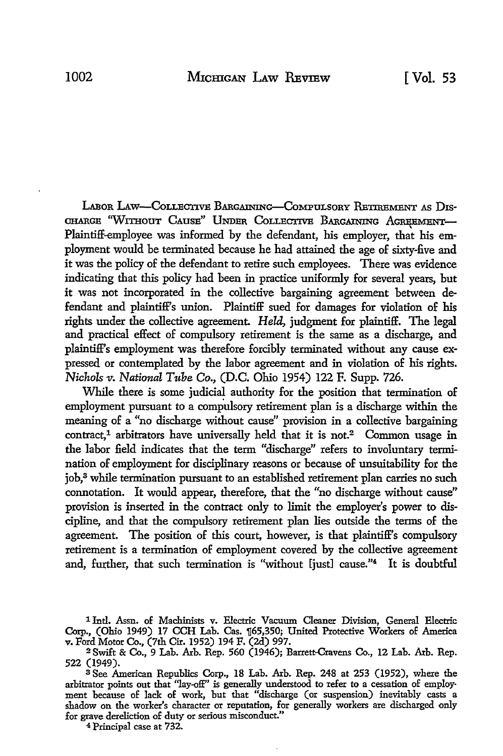LABOR **LAw-CoLLECTIVE BARGAINING-COMPULSORY RETIEMENT** AS Dis-**CHARGE "WITHOUT CAUSE" UNDER COLLECTIVE BARGAINING AGREEMENT-**Plaintiff-employee was informed by the defendant, his employer, that his employment would be terminated because he had attained the age of sixty-five and it was the policy of the defendant to retire such employees. There was evidence indicating that this policy had been in practice uniformly for several years, but it was not incorporated in the collective bargaining agreement between defendant and plaintiff's union. Plaintiff sued for damages for violation of his rights under the collective agreement. *Held,* judgment for plaintiff. The legal and practical effect of compulsory retirement is the same as a discharge, and plaintiff's employment was therefore forcibly terminated without any cause expressed or contemplated by the labor agreement and in violation of his rights. *Nichols v. National Tube Co.,* (D.C. Ohio 1954) 122 F. Supp. 726.

While there is some judicial authority for the position that termination of employment pursuant to a compulsory retirement plan is a discharge within the meaning of a "no discharge without cause" provision in a collective bargaining  $contact<sup>1</sup>$  arbitrators have universally held that it is not.<sup>2</sup> Common usage in the labor field indicates that the term "discharge" refers to involuntary termination of employment for disciplinary reasons or because of unsuitability for the job,3 while termination pursuant to an established retirement plan carries no such connotation. It would appear, therefore, that the "no discharge without cause" provision is inserted in the contract only to limit the employer's power to discipline, and that the compulsory retirement plan lies outside the terms of the agreement. The position of this court, however, is that plaintiff's compulsory retirement is a termination of employment covered by the collective agreement and, further, that such termination is "without [just] cause."4 It is doubtful

**4** Principal case at **732.**

<sup>&</sup>lt;sup>1</sup> Intl. Assn. of Machinists v. Electric Vacuum Cleaner Division, General Electric Corp., (Ohio 1949) 17 CCH Lab. Cas. [65,350; United Protective Workers of America v. Ford Motor Co., (7th Cir. 1952) 194 F. (2d) 997.

**<sup>2</sup>** Swift & Co., 9 Lab. Arb. Rep. 560 (1946); Barrett-Cravens Co., 12 Lab. Arb. Rep. 522 (1949).

**<sup>3</sup> See** American Republics Corp., 18 Lab. Arb. Rep. 248 at **253** (1952), where the arbitrator points out that "lay-ofF' is generally understood to refer to a cessation of employment because of lack of work, but that "discharge (or suspension) inevitably casts a shadow on the worker's character or reputation, for generally workers are discharged only for grave dereliction of duty or serious misconduct."